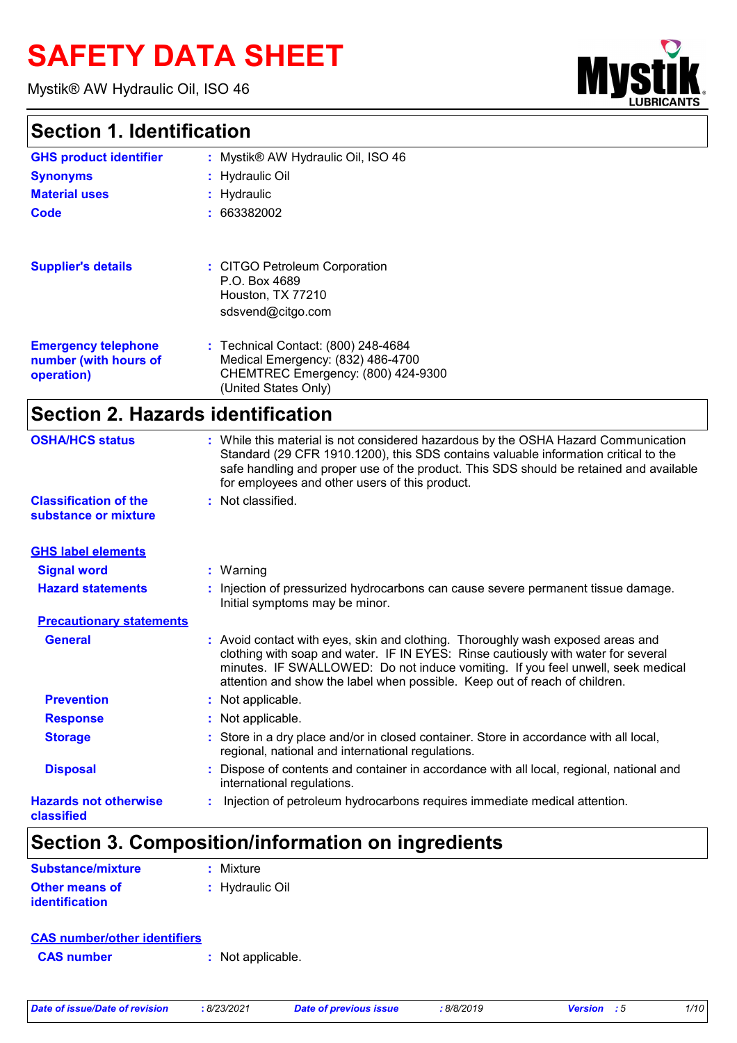# **SAFETY DATA SHEET**

Mystik® AW Hydraulic Oil, ISO 46

# **My**

#### **Section 1. Identification**

| <b>GHS product identifier</b>                                     | : Mystik® AW Hydraulic Oil, ISO 46                                                                                                     |
|-------------------------------------------------------------------|----------------------------------------------------------------------------------------------------------------------------------------|
| <b>Synonyms</b>                                                   | : Hydraulic Oil                                                                                                                        |
| <b>Material uses</b>                                              | : Hydraulic                                                                                                                            |
| Code                                                              | : 663382002                                                                                                                            |
| <b>Supplier's details</b>                                         | : CITGO Petroleum Corporation<br>P.O. Box 4689<br>Houston, TX 77210<br>sdsvend@citgo.com                                               |
| <b>Emergency telephone</b><br>number (with hours of<br>operation) | : Technical Contact: (800) 248-4684<br>Medical Emergency: (832) 486-4700<br>CHEMTREC Emergency: (800) 424-9300<br>(United States Only) |

# **Section 2. Hazards identification**

| <b>OSHA/HCS status</b>                               | : While this material is not considered hazardous by the OSHA Hazard Communication<br>Standard (29 CFR 1910.1200), this SDS contains valuable information critical to the<br>safe handling and proper use of the product. This SDS should be retained and available<br>for employees and other users of this product.                 |
|------------------------------------------------------|---------------------------------------------------------------------------------------------------------------------------------------------------------------------------------------------------------------------------------------------------------------------------------------------------------------------------------------|
| <b>Classification of the</b><br>substance or mixture | : Not classified.                                                                                                                                                                                                                                                                                                                     |
| <b>GHS label elements</b>                            |                                                                                                                                                                                                                                                                                                                                       |
| <b>Signal word</b>                                   | : Warning                                                                                                                                                                                                                                                                                                                             |
| <b>Hazard statements</b>                             | : Injection of pressurized hydrocarbons can cause severe permanent tissue damage.<br>Initial symptoms may be minor.                                                                                                                                                                                                                   |
| <b>Precautionary statements</b>                      |                                                                                                                                                                                                                                                                                                                                       |
| <b>General</b>                                       | : Avoid contact with eyes, skin and clothing. Thoroughly wash exposed areas and<br>clothing with soap and water. IF IN EYES: Rinse cautiously with water for several<br>minutes. IF SWALLOWED: Do not induce vomiting. If you feel unwell, seek medical<br>attention and show the label when possible. Keep out of reach of children. |
| <b>Prevention</b>                                    | : Not applicable.                                                                                                                                                                                                                                                                                                                     |
| <b>Response</b>                                      | : Not applicable.                                                                                                                                                                                                                                                                                                                     |
| <b>Storage</b>                                       | : Store in a dry place and/or in closed container. Store in accordance with all local,<br>regional, national and international regulations.                                                                                                                                                                                           |
| <b>Disposal</b>                                      | : Dispose of contents and container in accordance with all local, regional, national and<br>international regulations.                                                                                                                                                                                                                |
| <b>Hazards not otherwise</b><br>classified           | Injection of petroleum hydrocarbons requires immediate medical attention.                                                                                                                                                                                                                                                             |

# **Section 3. Composition/information on ingredients**

| <b>Substance/mixture</b> | : Mixture       |
|--------------------------|-----------------|
| <b>Other means of</b>    | : Hydraulic Oil |
| <b>identification</b>    |                 |

#### **CAS number/other identifiers**

**CAS number :** Not applicable.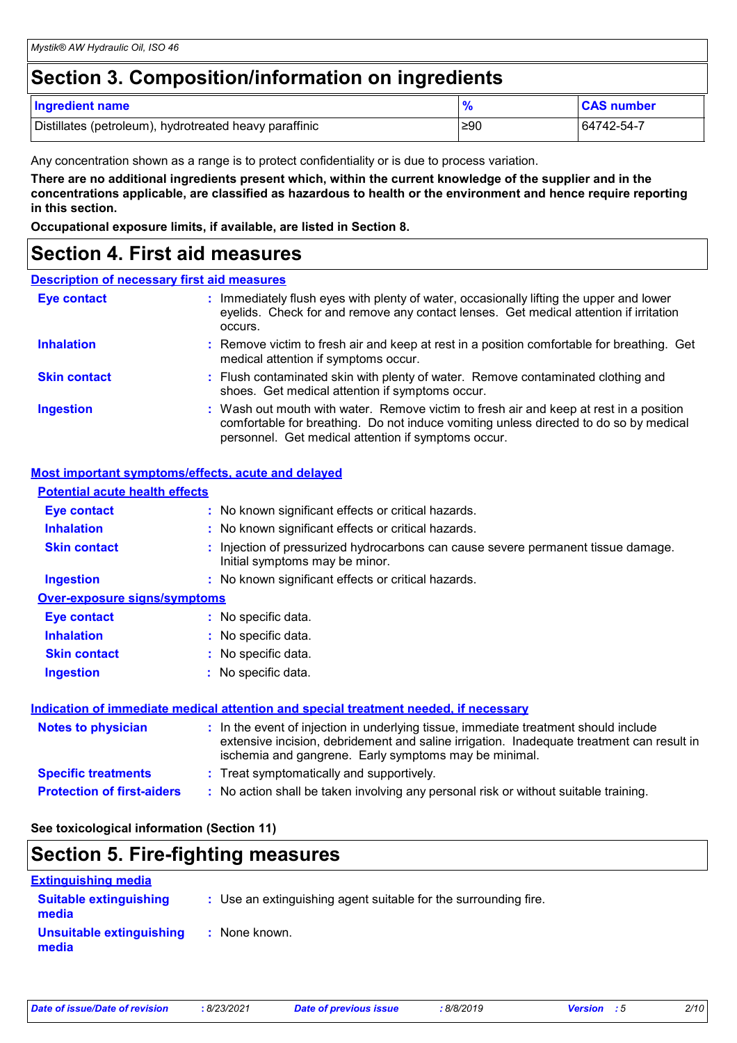## **Section 3. Composition/information on ingredients**

| <b>Ingredient name</b>                                 |     | <b>CAS number</b> |
|--------------------------------------------------------|-----|-------------------|
| Distillates (petroleum), hydrotreated heavy paraffinic | ≥90 | 64742-54-7        |

Any concentration shown as a range is to protect confidentiality or is due to process variation.

**There are no additional ingredients present which, within the current knowledge of the supplier and in the concentrations applicable, are classified as hazardous to health or the environment and hence require reporting in this section.**

**Occupational exposure limits, if available, are listed in Section 8.**

#### **Section 4. First aid measures**

#### **Description of necessary first aid measures**

| <b>Eye contact</b>  | : Immediately flush eyes with plenty of water, occasionally lifting the upper and lower<br>eyelids. Check for and remove any contact lenses. Get medical attention if irritation<br>occurs.                                            |
|---------------------|----------------------------------------------------------------------------------------------------------------------------------------------------------------------------------------------------------------------------------------|
| <b>Inhalation</b>   | : Remove victim to fresh air and keep at rest in a position comfortable for breathing. Get<br>medical attention if symptoms occur.                                                                                                     |
| <b>Skin contact</b> | : Flush contaminated skin with plenty of water. Remove contaminated clothing and<br>shoes. Get medical attention if symptoms occur.                                                                                                    |
| <b>Ingestion</b>    | : Wash out mouth with water. Remove victim to fresh air and keep at rest in a position<br>comfortable for breathing. Do not induce vomiting unless directed to do so by medical<br>personnel. Get medical attention if symptoms occur. |

#### **Most important symptoms/effects, acute and delayed**

| <b>Potential acute health effects</b> |                                                                                                                                                                                                                                            |
|---------------------------------------|--------------------------------------------------------------------------------------------------------------------------------------------------------------------------------------------------------------------------------------------|
| <b>Eye contact</b>                    | : No known significant effects or critical hazards.                                                                                                                                                                                        |
| <b>Inhalation</b>                     | : No known significant effects or critical hazards.                                                                                                                                                                                        |
| <b>Skin contact</b>                   | : Injection of pressurized hydrocarbons can cause severe permanent tissue damage.<br>Initial symptoms may be minor.                                                                                                                        |
| <b>Ingestion</b>                      | : No known significant effects or critical hazards.                                                                                                                                                                                        |
| <b>Over-exposure signs/symptoms</b>   |                                                                                                                                                                                                                                            |
| <b>Eye contact</b>                    | : No specific data.                                                                                                                                                                                                                        |
| <b>Inhalation</b>                     | : No specific data.                                                                                                                                                                                                                        |
| <b>Skin contact</b>                   | : No specific data.                                                                                                                                                                                                                        |
| <b>Ingestion</b>                      | : No specific data.                                                                                                                                                                                                                        |
|                                       | Indication of immediate medical attention and special treatment needed, if necessary                                                                                                                                                       |
| <b>Notes to physician</b>             | : In the event of injection in underlying tissue, immediate treatment should include<br>extensive incision, debridement and saline irrigation. Inadequate treatment can result in<br>ischemia and gangrene. Early symptoms may be minimal. |
| <b>Specific treatments</b>            | : Treat symptomatically and supportively.                                                                                                                                                                                                  |
| <b>Protection of first-aiders</b>     | : No action shall be taken involving any personal risk or without suitable training.                                                                                                                                                       |

**See toxicological information (Section 11)**

#### **Section 5. Fire-fighting measures**

| <b>Extinguishing media</b>             |                                                                 |
|----------------------------------------|-----------------------------------------------------------------|
| <b>Suitable extinguishing</b><br>media | : Use an extinguishing agent suitable for the surrounding fire. |
| Unsuitable extinguishing<br>media      | : None known.                                                   |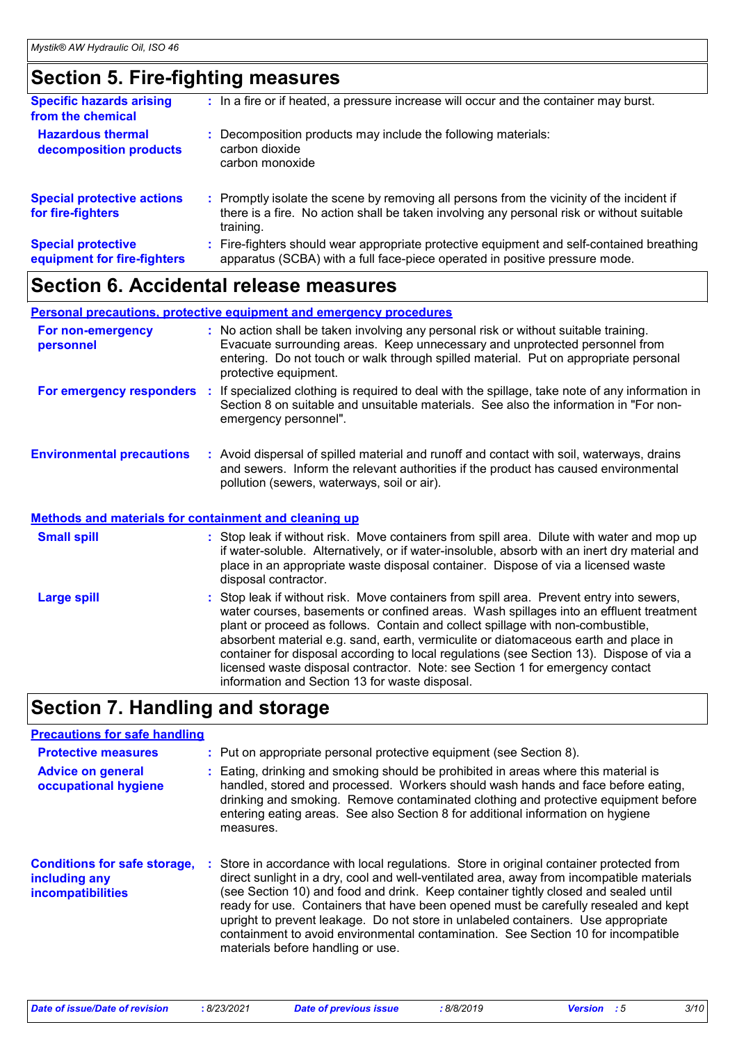## **Section 5. Fire-fighting measures**

| <b>Specific hazards arising</b><br>from the chemical     | : In a fire or if heated, a pressure increase will occur and the container may burst.                                                                                                               |
|----------------------------------------------------------|-----------------------------------------------------------------------------------------------------------------------------------------------------------------------------------------------------|
| <b>Hazardous thermal</b><br>decomposition products       | Decomposition products may include the following materials:<br>carbon dioxide<br>carbon monoxide                                                                                                    |
| <b>Special protective actions</b><br>for fire-fighters   | : Promptly isolate the scene by removing all persons from the vicinity of the incident if<br>there is a fire. No action shall be taken involving any personal risk or without suitable<br>training. |
| <b>Special protective</b><br>equipment for fire-fighters | Fire-fighters should wear appropriate protective equipment and self-contained breathing<br>apparatus (SCBA) with a full face-piece operated in positive pressure mode.                              |

#### **Section 6. Accidental release measures**

#### **Personal precautions, protective equipment and emergency procedures**

| For non-emergency<br>personnel                                                                   | : No action shall be taken involving any personal risk or without suitable training.<br>Evacuate surrounding areas. Keep unnecessary and unprotected personnel from<br>entering. Do not touch or walk through spilled material. Put on appropriate personal<br>protective equipment.                                                                                                                                                                    |
|--------------------------------------------------------------------------------------------------|---------------------------------------------------------------------------------------------------------------------------------------------------------------------------------------------------------------------------------------------------------------------------------------------------------------------------------------------------------------------------------------------------------------------------------------------------------|
| For emergency responders                                                                         | : If specialized clothing is required to deal with the spillage, take note of any information in<br>Section 8 on suitable and unsuitable materials. See also the information in "For non-<br>emergency personnel".                                                                                                                                                                                                                                      |
| <b>Environmental precautions</b><br><b>Methods and materials for containment and cleaning up</b> | : Avoid dispersal of spilled material and runoff and contact with soil, waterways, drains<br>and sewers. Inform the relevant authorities if the product has caused environmental<br>pollution (sewers, waterways, soil or air).                                                                                                                                                                                                                         |
|                                                                                                  |                                                                                                                                                                                                                                                                                                                                                                                                                                                         |
| <b>Small spill</b>                                                                               | : Stop leak if without risk. Move containers from spill area. Dilute with water and mop up<br>if water-soluble. Alternatively, or if water-insoluble, absorb with an inert dry material and<br>place in an appropriate waste disposal container. Dispose of via a licensed waste<br>disposal contractor.                                                                                                                                                |
| <b>Large spill</b>                                                                               | : Stop leak if without risk. Move containers from spill area. Prevent entry into sewers,<br>water courses, basements or confined areas. Wash spillages into an effluent treatment<br>plant or proceed as follows. Contain and collect spillage with non-combustible,<br>absorbent material e.g. sand, earth, vermiculite or diatomaceous earth and place in<br>container for disposal according to local regulations (see Section 13). Dispose of via a |

licensed waste disposal contractor. Note: see Section 1 for emergency contact

# **Section 7. Handling and storage**

#### **Precautions for safe handling**

| <b>Protective measures</b>                                                       | : Put on appropriate personal protective equipment (see Section 8).                                                                                                                                                                                                                                                                                                                                                                                                                                                                                                              |
|----------------------------------------------------------------------------------|----------------------------------------------------------------------------------------------------------------------------------------------------------------------------------------------------------------------------------------------------------------------------------------------------------------------------------------------------------------------------------------------------------------------------------------------------------------------------------------------------------------------------------------------------------------------------------|
| <b>Advice on general</b><br>occupational hygiene                                 | Eating, drinking and smoking should be prohibited in areas where this material is<br>handled, stored and processed. Workers should wash hands and face before eating,<br>drinking and smoking. Remove contaminated clothing and protective equipment before<br>entering eating areas. See also Section 8 for additional information on hygiene<br>measures.                                                                                                                                                                                                                      |
| <b>Conditions for safe storage,</b><br>including any<br><b>incompatibilities</b> | Store in accordance with local regulations. Store in original container protected from<br>direct sunlight in a dry, cool and well-ventilated area, away from incompatible materials<br>(see Section 10) and food and drink. Keep container tightly closed and sealed until<br>ready for use. Containers that have been opened must be carefully resealed and kept<br>upright to prevent leakage. Do not store in unlabeled containers. Use appropriate<br>containment to avoid environmental contamination. See Section 10 for incompatible<br>materials before handling or use. |

information and Section 13 for waste disposal.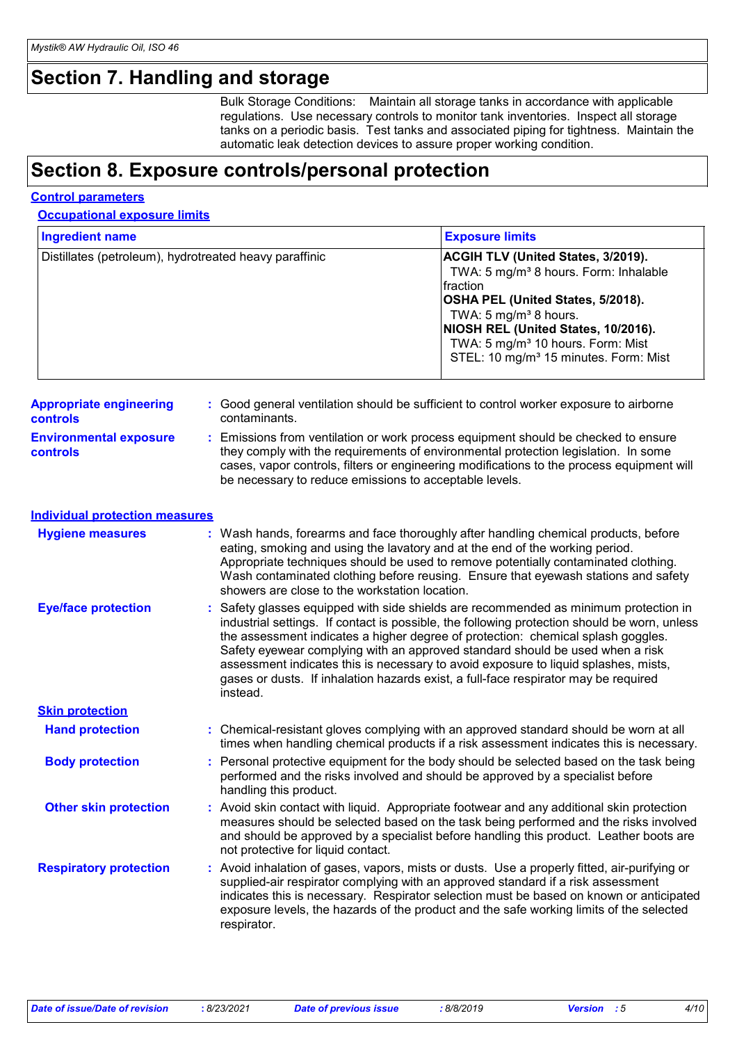# **Section 7. Handling and storage**

Bulk Storage Conditions: Maintain all storage tanks in accordance with applicable regulations. Use necessary controls to monitor tank inventories. Inspect all storage tanks on a periodic basis. Test tanks and associated piping for tightness. Maintain the automatic leak detection devices to assure proper working condition.

## **Section 8. Exposure controls/personal protection**

|--|

**Occupational exposure limits**

| <b>Ingredient name</b>                                 |  |                                                                                                                                                                                                                                                                                                                                                                                                   | <b>Exposure limits</b>                                                                                                                                                                                                                                                                                                                                                                                                                                                                                                                  |
|--------------------------------------------------------|--|---------------------------------------------------------------------------------------------------------------------------------------------------------------------------------------------------------------------------------------------------------------------------------------------------------------------------------------------------------------------------------------------------|-----------------------------------------------------------------------------------------------------------------------------------------------------------------------------------------------------------------------------------------------------------------------------------------------------------------------------------------------------------------------------------------------------------------------------------------------------------------------------------------------------------------------------------------|
| Distillates (petroleum), hydrotreated heavy paraffinic |  |                                                                                                                                                                                                                                                                                                                                                                                                   | ACGIH TLV (United States, 3/2019).<br>TWA: 5 mg/m <sup>3</sup> 8 hours. Form: Inhalable<br>fraction<br>OSHA PEL (United States, 5/2018).<br>TWA: 5 mg/m <sup>3</sup> 8 hours.<br>NIOSH REL (United States, 10/2016).<br>TWA: 5 mg/m <sup>3</sup> 10 hours. Form: Mist<br>STEL: 10 mg/m <sup>3</sup> 15 minutes. Form: Mist                                                                                                                                                                                                              |
| <b>Appropriate engineering</b><br>controls             |  | contaminants.                                                                                                                                                                                                                                                                                                                                                                                     | : Good general ventilation should be sufficient to control worker exposure to airborne                                                                                                                                                                                                                                                                                                                                                                                                                                                  |
| <b>Environmental exposure</b><br>controls              |  | : Emissions from ventilation or work process equipment should be checked to ensure<br>they comply with the requirements of environmental protection legislation. In some<br>cases, vapor controls, filters or engineering modifications to the process equipment will<br>be necessary to reduce emissions to acceptable levels.                                                                   |                                                                                                                                                                                                                                                                                                                                                                                                                                                                                                                                         |
| <b>Individual protection measures</b>                  |  |                                                                                                                                                                                                                                                                                                                                                                                                   |                                                                                                                                                                                                                                                                                                                                                                                                                                                                                                                                         |
| <b>Hygiene measures</b>                                |  | : Wash hands, forearms and face thoroughly after handling chemical products, before<br>eating, smoking and using the lavatory and at the end of the working period.<br>Appropriate techniques should be used to remove potentially contaminated clothing.<br>Wash contaminated clothing before reusing. Ensure that eyewash stations and safety<br>showers are close to the workstation location. |                                                                                                                                                                                                                                                                                                                                                                                                                                                                                                                                         |
| <b>Eye/face protection</b>                             |  | instead.                                                                                                                                                                                                                                                                                                                                                                                          | : Safety glasses equipped with side shields are recommended as minimum protection in<br>industrial settings. If contact is possible, the following protection should be worn, unless<br>the assessment indicates a higher degree of protection: chemical splash goggles.<br>Safety eyewear complying with an approved standard should be used when a risk<br>assessment indicates this is necessary to avoid exposure to liquid splashes, mists,<br>gases or dusts. If inhalation hazards exist, a full-face respirator may be required |
| <b>Skin protection</b>                                 |  |                                                                                                                                                                                                                                                                                                                                                                                                   |                                                                                                                                                                                                                                                                                                                                                                                                                                                                                                                                         |
| <b>Hand protection</b>                                 |  | : Chemical-resistant gloves complying with an approved standard should be worn at all<br>times when handling chemical products if a risk assessment indicates this is necessary.                                                                                                                                                                                                                  |                                                                                                                                                                                                                                                                                                                                                                                                                                                                                                                                         |
| <b>Body protection</b>                                 |  | : Personal protective equipment for the body should be selected based on the task being<br>performed and the risks involved and should be approved by a specialist before<br>handling this product.                                                                                                                                                                                               |                                                                                                                                                                                                                                                                                                                                                                                                                                                                                                                                         |
| <b>Other skin protection</b>                           |  | : Avoid skin contact with liquid. Appropriate footwear and any additional skin protection<br>measures should be selected based on the task being performed and the risks involved<br>and should be approved by a specialist before handling this product. Leather boots are<br>not protective for liquid contact.                                                                                 |                                                                                                                                                                                                                                                                                                                                                                                                                                                                                                                                         |
| <b>Respiratory protection</b>                          |  | respirator.                                                                                                                                                                                                                                                                                                                                                                                       | : Avoid inhalation of gases, vapors, mists or dusts. Use a properly fitted, air-purifying or<br>supplied-air respirator complying with an approved standard if a risk assessment<br>indicates this is necessary. Respirator selection must be based on known or anticipated<br>exposure levels, the hazards of the product and the safe working limits of the selected                                                                                                                                                                  |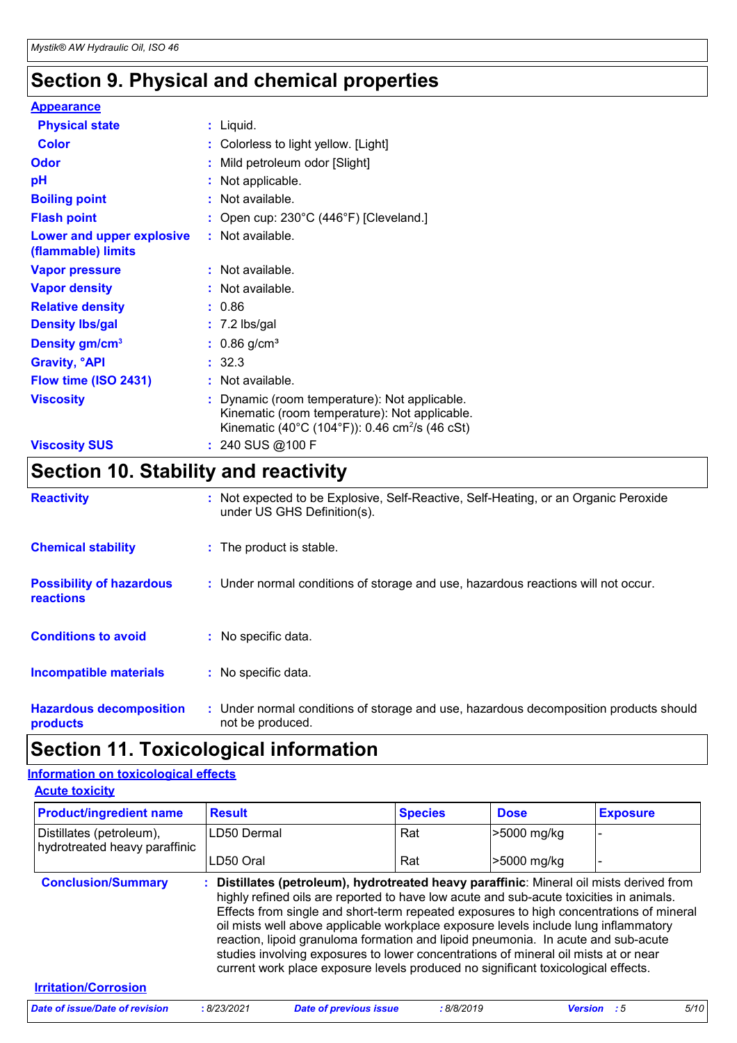# **Section 9. Physical and chemical properties**

| <b>Appearance</b>                               |                                                                                                                                                              |
|-------------------------------------------------|--------------------------------------------------------------------------------------------------------------------------------------------------------------|
| <b>Physical state</b>                           | $:$ Liquid.                                                                                                                                                  |
| <b>Color</b>                                    | : Colorless to light yellow. [Light]                                                                                                                         |
| <b>Odor</b>                                     | : Mild petroleum odor [Slight]                                                                                                                               |
| pH                                              | : Not applicable.                                                                                                                                            |
| <b>Boiling point</b>                            | : Not available.                                                                                                                                             |
| <b>Flash point</b>                              | : Open cup: 230°C (446°F) [Cleveland.]                                                                                                                       |
| Lower and upper explosive<br>(flammable) limits | : Not available.                                                                                                                                             |
| <b>Vapor pressure</b>                           | : Not available.                                                                                                                                             |
| <b>Vapor density</b>                            | : Not available.                                                                                                                                             |
| <b>Relative density</b>                         | : 0.86                                                                                                                                                       |
| <b>Density Ibs/gal</b>                          | $: 7.2$ lbs/gal                                                                                                                                              |
| Density gm/cm <sup>3</sup>                      | $: 0.86$ g/cm <sup>3</sup>                                                                                                                                   |
| <b>Gravity, <sup>o</sup>API</b>                 | : 32.3                                                                                                                                                       |
| Flow time (ISO 2431)                            | : Not available.                                                                                                                                             |
| <b>Viscosity</b>                                | : Dynamic (room temperature): Not applicable.<br>Kinematic (room temperature): Not applicable.<br>Kinematic (40°C (104°F)): 0.46 cm <sup>2</sup> /s (46 cSt) |
| <b>Viscosity SUS</b>                            | : 240 SUS @100 F                                                                                                                                             |

# **Section 10. Stability and reactivity**

| <b>Reactivity</b>                                   | : Not expected to be Explosive, Self-Reactive, Self-Heating, or an Organic Peroxide<br>under US GHS Definition(s). |
|-----------------------------------------------------|--------------------------------------------------------------------------------------------------------------------|
| <b>Chemical stability</b>                           | : The product is stable.                                                                                           |
| <b>Possibility of hazardous</b><br><b>reactions</b> | : Under normal conditions of storage and use, hazardous reactions will not occur.                                  |
| <b>Conditions to avoid</b>                          | : No specific data.                                                                                                |
| <b>Incompatible materials</b>                       | : No specific data.                                                                                                |
| <b>Hazardous decomposition</b><br>products          | : Under normal conditions of storage and use, hazardous decomposition products should<br>not be produced.          |

# **Section 11. Toxicological information**

#### **Information on toxicological effects**

| <b>Product/ingredient name</b>                            | <b>Result</b>                                                                                                                                                                                                                                                                                                                                                  | <b>Species</b> | <b>Dose</b> | <b>Exposure</b> |
|-----------------------------------------------------------|----------------------------------------------------------------------------------------------------------------------------------------------------------------------------------------------------------------------------------------------------------------------------------------------------------------------------------------------------------------|----------------|-------------|-----------------|
| Distillates (petroleum),<br>hydrotreated heavy paraffinic | LD50 Dermal                                                                                                                                                                                                                                                                                                                                                    | Rat            | >5000 mg/kg |                 |
|                                                           | LD50 Oral                                                                                                                                                                                                                                                                                                                                                      | Rat            | >5000 mg/kg |                 |
|                                                           | highly refined oils are reported to have low acute and sub-acute toxicities in animals.<br>Effects from single and short-term repeated exposures to high concentrations of mineral<br>oil mists well above applicable workplace exposure levels include lung inflammatory<br>reaction, lipoid granuloma formation and lipoid pneumonia. In acute and sub-acute |                |             |                 |
|                                                           | studies involving exposures to lower concentrations of mineral oil mists at or near<br>current work place exposure levels produced no significant toxicological effects.                                                                                                                                                                                       |                |             |                 |
| <b>Irritation/Corrosion</b>                               |                                                                                                                                                                                                                                                                                                                                                                |                |             |                 |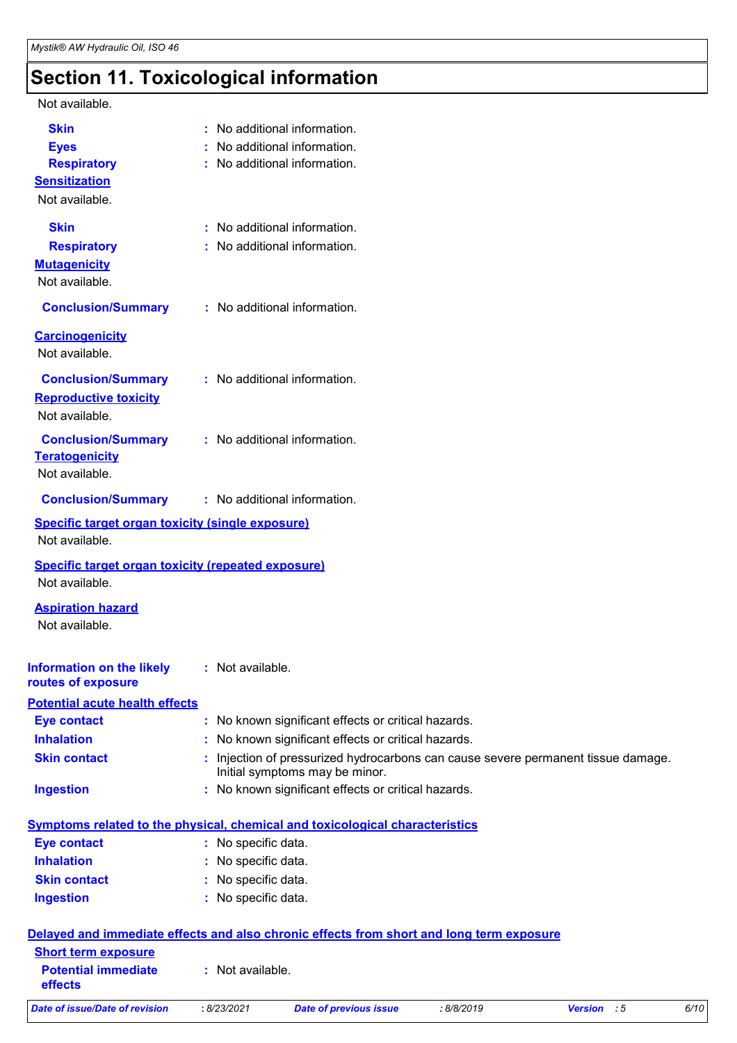# **Section 11. Toxicological information**

| Not available.                                                              |                                                                                                                     |
|-----------------------------------------------------------------------------|---------------------------------------------------------------------------------------------------------------------|
| <b>Skin</b>                                                                 | : No additional information.                                                                                        |
| <b>Eyes</b>                                                                 | No additional information.                                                                                          |
| <b>Respiratory</b>                                                          | : No additional information.                                                                                        |
| <b>Sensitization</b>                                                        |                                                                                                                     |
| Not available.                                                              |                                                                                                                     |
| <b>Skin</b>                                                                 | : No additional information.                                                                                        |
| <b>Respiratory</b>                                                          | : No additional information.                                                                                        |
| <b>Mutagenicity</b>                                                         |                                                                                                                     |
| Not available.                                                              |                                                                                                                     |
| <b>Conclusion/Summary</b>                                                   | : No additional information.                                                                                        |
| <b>Carcinogenicity</b>                                                      |                                                                                                                     |
| Not available.                                                              |                                                                                                                     |
| <b>Conclusion/Summary</b>                                                   | : No additional information.                                                                                        |
| <b>Reproductive toxicity</b>                                                |                                                                                                                     |
| Not available.                                                              |                                                                                                                     |
| <b>Conclusion/Summary</b>                                                   | : No additional information.                                                                                        |
| <b>Teratogenicity</b>                                                       |                                                                                                                     |
| Not available.                                                              |                                                                                                                     |
| <b>Conclusion/Summary</b>                                                   | : No additional information.                                                                                        |
| <b>Specific target organ toxicity (single exposure)</b>                     |                                                                                                                     |
| Not available.                                                              |                                                                                                                     |
| <b>Specific target organ toxicity (repeated exposure)</b><br>Not available. |                                                                                                                     |
| <b>Aspiration hazard</b>                                                    |                                                                                                                     |
| Not available.                                                              |                                                                                                                     |
|                                                                             |                                                                                                                     |
| <b>Information on the likely</b>                                            | : Not available.                                                                                                    |
| routes of exposure                                                          |                                                                                                                     |
| <b>Potential acute health effects</b>                                       |                                                                                                                     |
| <b>Eye contact</b>                                                          | : No known significant effects or critical hazards.                                                                 |
| <b>Inhalation</b>                                                           | : No known significant effects or critical hazards.                                                                 |
| <b>Skin contact</b>                                                         | : Injection of pressurized hydrocarbons can cause severe permanent tissue damage.<br>Initial symptoms may be minor. |
| <b>Ingestion</b>                                                            | : No known significant effects or critical hazards.                                                                 |
|                                                                             | <b>Symptoms related to the physical, chemical and toxicological characteristics</b>                                 |
| <b>Eye contact</b>                                                          | : No specific data.                                                                                                 |
| <b>Inhalation</b>                                                           | : No specific data.                                                                                                 |
| <b>Skin contact</b>                                                         | : No specific data.                                                                                                 |
| <b>Ingestion</b>                                                            | : No specific data.                                                                                                 |
|                                                                             |                                                                                                                     |
| <b>Short term exposure</b>                                                  | Delayed and immediate effects and also chronic effects from short and long term exposure                            |
|                                                                             |                                                                                                                     |

| Date of issue/Date of revision               | : 8/23/2021    | Date of previous issue | :8/8/2019 | Version : 5 | 6/10 |
|----------------------------------------------|----------------|------------------------|-----------|-------------|------|
| <b>Potential immediate</b><br><b>effects</b> | Not available. |                        |           |             |      |
| <b>Short term exposure</b>                   |                |                        |           |             |      |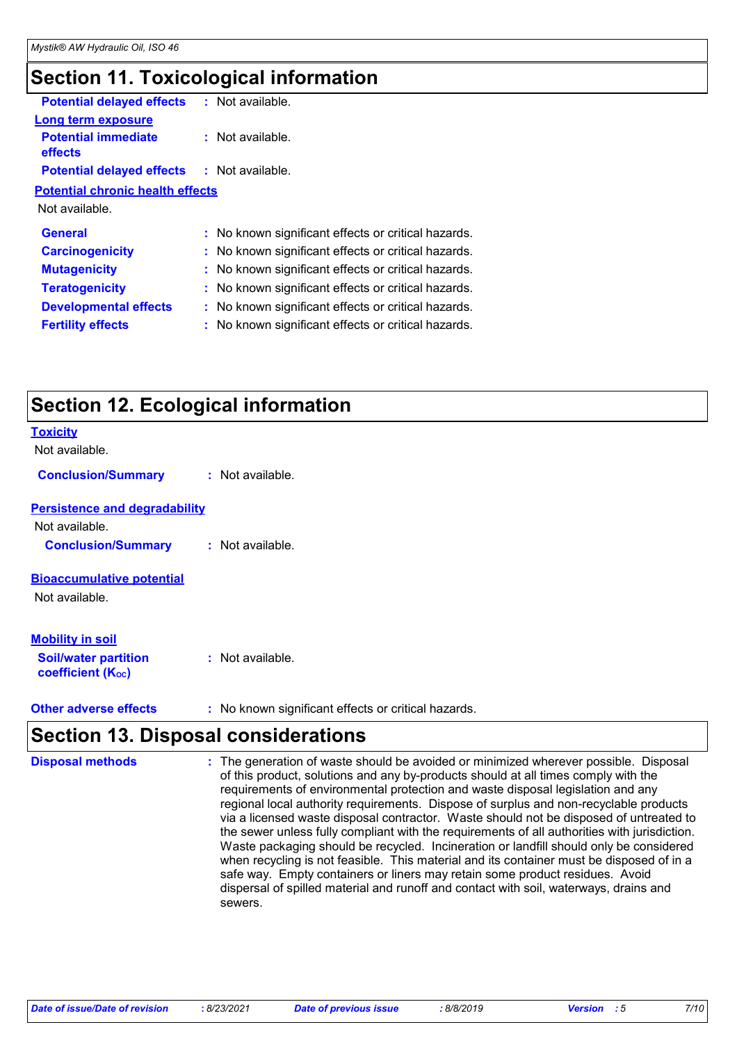# **Section 11. Toxicological information**

| <b>Potential delayed effects</b>                  | : Not available.                                    |  |
|---------------------------------------------------|-----------------------------------------------------|--|
| Long term exposure                                |                                                     |  |
| <b>Potential immediate</b><br>effects             | : Not available.                                    |  |
| <b>Potential delayed effects : Not available.</b> |                                                     |  |
| <b>Potential chronic health effects</b>           |                                                     |  |
| Not available.                                    |                                                     |  |
| <b>General</b>                                    | : No known significant effects or critical hazards. |  |
| <b>Carcinogenicity</b>                            | : No known significant effects or critical hazards. |  |
| <b>Mutagenicity</b>                               | : No known significant effects or critical hazards. |  |
| <b>Teratogenicity</b>                             | : No known significant effects or critical hazards. |  |
| <b>Developmental effects</b>                      | : No known significant effects or critical hazards. |  |
| <b>Fertility effects</b>                          | : No known significant effects or critical hazards. |  |
|                                                   |                                                     |  |

# **Section 12. Ecological information**

| <b>Toxicity</b>                                         |                                                     |
|---------------------------------------------------------|-----------------------------------------------------|
| Not available.                                          |                                                     |
| <b>Conclusion/Summary</b>                               | : Not available.                                    |
| <b>Persistence and degradability</b>                    |                                                     |
| Not available.                                          |                                                     |
| <b>Conclusion/Summary</b>                               | : Not available.                                    |
| <b>Bioaccumulative potential</b>                        |                                                     |
| Not available.                                          |                                                     |
| <b>Mobility in soil</b>                                 |                                                     |
| <b>Soil/water partition</b><br><b>coefficient (Koc)</b> | : Not available.                                    |
| <b>Other adverse effects</b>                            | : No known significant effects or critical hazards. |

#### **Section 13. Disposal considerations**

The generation of waste should be avoided or minimized wherever possible. Disposal of this product, solutions and any by-products should at all times comply with the requirements of environmental protection and waste disposal legislation and any regional local authority requirements. Dispose of surplus and non-recyclable products via a licensed waste disposal contractor. Waste should not be disposed of untreated to the sewer unless fully compliant with the requirements of all authorities with jurisdiction. Waste packaging should be recycled. Incineration or landfill should only be considered when recycling is not feasible. This material and its container must be disposed of in a safe way. Empty containers or liners may retain some product residues. Avoid dispersal of spilled material and runoff and contact with soil, waterways, drains and sewers. **Disposal methods :**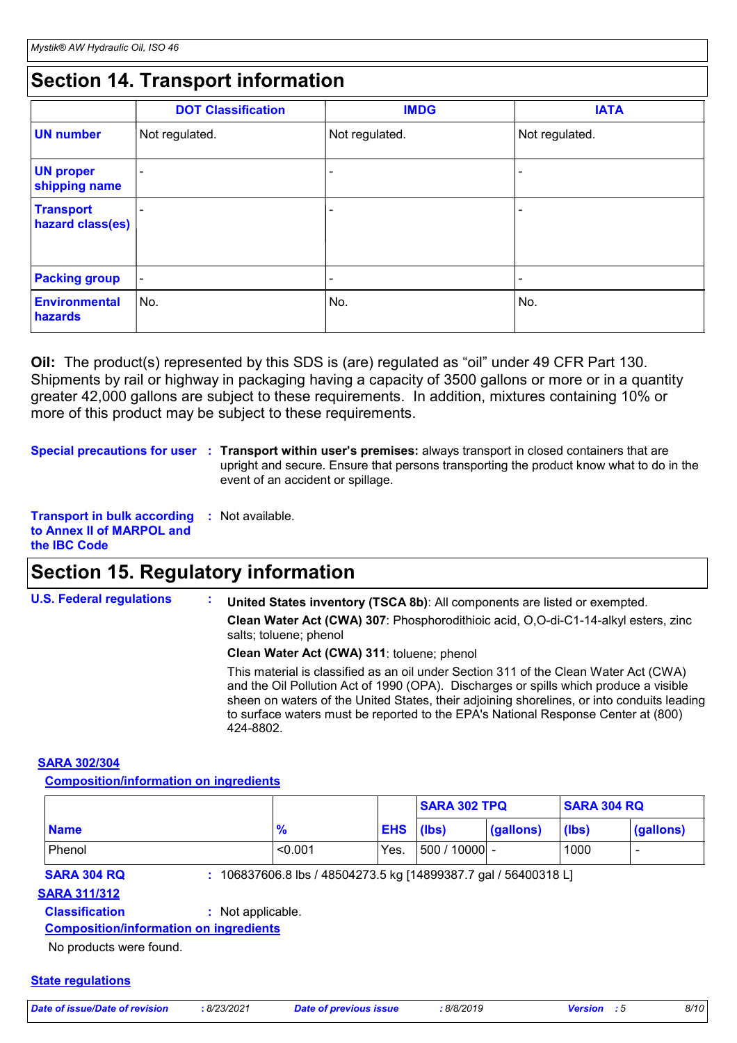# **Section 14. Transport information**

|                                      | <b>DOT Classification</b> | <b>IMDG</b>              | <b>IATA</b>              |
|--------------------------------------|---------------------------|--------------------------|--------------------------|
| <b>UN number</b>                     | Not regulated.            | Not regulated.           | Not regulated.           |
| <b>UN proper</b><br>shipping name    | $\overline{\phantom{0}}$  | ۰                        | ٠                        |
| <b>Transport</b><br>hazard class(es) | $\overline{\phantom{0}}$  | $\overline{\phantom{0}}$ | $\overline{\phantom{0}}$ |
| <b>Packing group</b>                 | $\overline{\phantom{a}}$  | $\overline{\phantom{a}}$ | $\overline{\phantom{a}}$ |
| <b>Environmental</b><br>hazards      | ∣No.                      | No.                      | No.                      |

**Oil:** The product(s) represented by this SDS is (are) regulated as "oil" under 49 CFR Part 130. Shipments by rail or highway in packaging having a capacity of 3500 gallons or more or in a quantity greater 42,000 gallons are subject to these requirements. In addition, mixtures containing 10% or more of this product may be subject to these requirements.

**Special precautions for user** : Transport within user's premises: always transport in closed containers that are upright and secure. Ensure that persons transporting the product know what to do in the event of an accident or spillage.

**Transport in bulk according :** Not available. **to Annex II of MARPOL and the IBC Code**

## **Section 15. Regulatory information**

**U.S. Federal regulations : Clean Water Act (CWA) 307**: Phosphorodithioic acid, O,O-di-C1-14-alkyl esters, zinc salts; toluene; phenol **Clean Water Act (CWA) 311**: toluene; phenol **United States inventory (TSCA 8b)**: All components are listed or exempted.

> This material is classified as an oil under Section 311 of the Clean Water Act (CWA) and the Oil Pollution Act of 1990 (OPA). Discharges or spills which produce a visible sheen on waters of the United States, their adjoining shorelines, or into conduits leading to surface waters must be reported to the EPA's National Response Center at (800) 424-8802.

#### **SARA 302/304**

**Composition/information on ingredients**

|                    |                                                               |                  | <b>SARA 302 TPQ</b> |           | <b>SARA 304 RQ</b> |                  |
|--------------------|---------------------------------------------------------------|------------------|---------------------|-----------|--------------------|------------------|
| <b>Name</b>        | %                                                             | <b>EHS</b> (lbs) |                     | (gallons) | (lbs)              | <u>(gallons)</u> |
| Phenol             | < 0.001                                                       | Yes.             | $ 500/10000 $ -     |           | 1000               |                  |
| <b>SARA 304 RQ</b> | 106837606.8 lbs / 48504273.5 kg [14899387.7 gal / 56400318 L] |                  |                     |           |                    |                  |

#### **SARA 311/312**

#### **Classification :** Not applicable.

**Composition/information on ingredients**

No products were found.

#### **State regulations**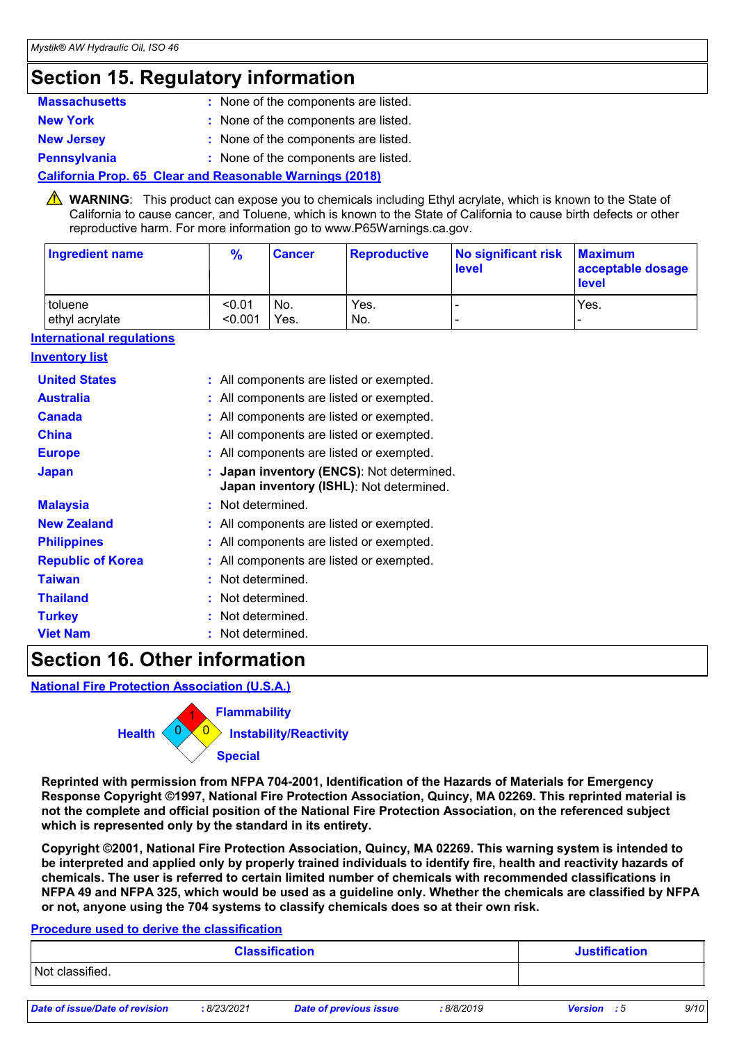# **Section 15. Regulatory information**

| <b>Massachusetts</b> | : None of the components are listed. |
|----------------------|--------------------------------------|
| <b>New York</b>      | : None of the components are listed. |
| <b>New Jersey</b>    | : None of the components are listed. |
| <b>Pennsylvania</b>  | : None of the components are listed. |

#### **California Prop. 65 Clear and Reasonable Warnings (2018)**

WARNING: This product can expose you to chemicals including Ethyl acrylate, which is known to the State of California to cause cancer, and Toluene, which is known to the State of California to cause birth defects or other reproductive harm. For more information go to www.P65Warnings.ca.gov.

| Ingredient name | $\frac{9}{6}$ | <b>Cancer</b> | Reproductive | No significant risk<br><b>level</b> | <b>Maximum</b><br>acceptable dosage<br><b>level</b> |
|-----------------|---------------|---------------|--------------|-------------------------------------|-----------------------------------------------------|
| toluene         | < 0.01        | No.           | Yes.         | -                                   | Yes.                                                |
| ethyl acrylate  | < 0.001       | Yes.          | No.          | $\overline{\phantom{0}}$            |                                                     |

#### **International regulations**

#### **Inventory list**

| <b>United States</b>     | : All components are listed or exempted.                                             |
|--------------------------|--------------------------------------------------------------------------------------|
| <b>Australia</b>         | : All components are listed or exempted.                                             |
| <b>Canada</b>            | : All components are listed or exempted.                                             |
| <b>China</b>             | : All components are listed or exempted.                                             |
| <b>Europe</b>            | : All components are listed or exempted.                                             |
| <b>Japan</b>             | : Japan inventory (ENCS): Not determined.<br>Japan inventory (ISHL): Not determined. |
| <b>Malaysia</b>          | : Not determined.                                                                    |
| <b>New Zealand</b>       | : All components are listed or exempted.                                             |
| <b>Philippines</b>       | : All components are listed or exempted.                                             |
| <b>Republic of Korea</b> | : All components are listed or exempted.                                             |
| <b>Taiwan</b>            | : Not determined.                                                                    |
| <b>Thailand</b>          | : Not determined.                                                                    |
| <b>Turkey</b>            | : Not determined.                                                                    |
| <b>Viet Nam</b>          | Not determined.                                                                      |

#### **Section 16. Other information**

**National Fire Protection Association (U.S.A.)**



**Reprinted with permission from NFPA 704-2001, Identification of the Hazards of Materials for Emergency Response Copyright ©1997, National Fire Protection Association, Quincy, MA 02269. This reprinted material is not the complete and official position of the National Fire Protection Association, on the referenced subject which is represented only by the standard in its entirety.**

**Copyright ©2001, National Fire Protection Association, Quincy, MA 02269. This warning system is intended to be interpreted and applied only by properly trained individuals to identify fire, health and reactivity hazards of chemicals. The user is referred to certain limited number of chemicals with recommended classifications in NFPA 49 and NFPA 325, which would be used as a guideline only. Whether the chemicals are classified by NFPA or not, anyone using the 704 systems to classify chemicals does so at their own risk.**

#### **Procedure used to derive the classification**

| <b>Classification</b>          |             |                               |            | <b>Justification</b> |  |      |
|--------------------------------|-------------|-------------------------------|------------|----------------------|--|------|
| Not classified.                |             |                               |            |                      |  |      |
| Date of issue/Date of revision | : 8/23/2021 | <b>Date of previous issue</b> | : 8/8/2019 | <b>Version</b> : 5   |  | 9/10 |